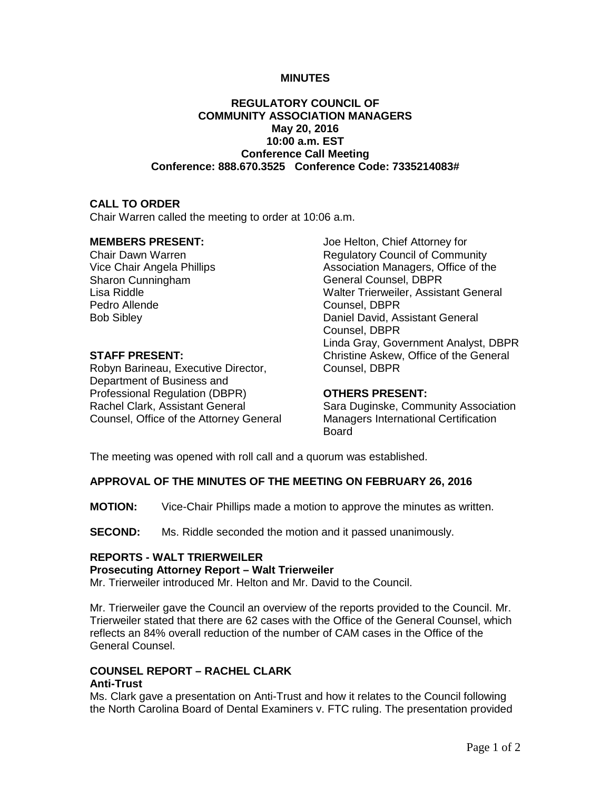## **MINUTES**

## **REGULATORY COUNCIL OF COMMUNITY ASSOCIATION MANAGERS May 20, 2016 10:00 a.m. EST Conference Call Meeting Conference: 888.670.3525 Conference Code: 7335214083#**

## **CALL TO ORDER**

Chair Warren called the meeting to order at 10:06 a.m.

## **MEMBERS PRESENT:**

Chair Dawn Warren Vice Chair Angela Phillips Sharon Cunningham Lisa Riddle Pedro Allende Bob Sibley

## **STAFF PRESENT:**

Robyn Barineau, Executive Director, Department of Business and Professional Regulation (DBPR) Rachel Clark, Assistant General Counsel, Office of the Attorney General Joe Helton, Chief Attorney for Regulatory Council of Community Association Managers, Office of the General Counsel, DBPR Walter Trierweiler, Assistant General Counsel, DBPR Daniel David, Assistant General Counsel, DBPR Linda Gray, Government Analyst, DBPR Christine Askew, Office of the General Counsel, DBPR

## **OTHERS PRESENT:**

Sara Duginske, Community Association Managers International Certification Board

The meeting was opened with roll call and a quorum was established.

## **APPROVAL OF THE MINUTES OF THE MEETING ON FEBRUARY 26, 2016**

**MOTION:** Vice-Chair Phillips made a motion to approve the minutes as written.

**SECOND:** Ms. Riddle seconded the motion and it passed unanimously.

# **REPORTS - WALT TRIERWEILER**

## **Prosecuting Attorney Report – Walt Trierweiler**

Mr. Trierweiler introduced Mr. Helton and Mr. David to the Council.

Mr. Trierweiler gave the Council an overview of the reports provided to the Council. Mr. Trierweiler stated that there are 62 cases with the Office of the General Counsel, which reflects an 84% overall reduction of the number of CAM cases in the Office of the General Counsel.

#### **COUNSEL REPORT – RACHEL CLARK Anti-Trust**

Ms. Clark gave a presentation on Anti-Trust and how it relates to the Council following the North Carolina Board of Dental Examiners v. FTC ruling. The presentation provided